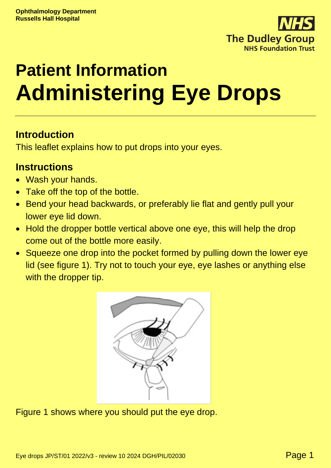

# **Patient Information Administering Eye Drops**

# **Introduction**

This leaflet explains how to put drops into your eyes.

### **Instructions**

- Wash your hands.
- Take off the top of the bottle.
- Bend your head backwards, or preferably lie flat and gently pull your lower eye lid down.
- Hold the dropper bottle vertical above one eye, this will help the drop come out of the bottle more easily.
- Squeeze one drop into the pocket formed by pulling down the lower eye lid (see figure 1). Try not to touch your eye, eye lashes or anything else with the dropper tip.



Figure 1 shows where you should put the eye drop.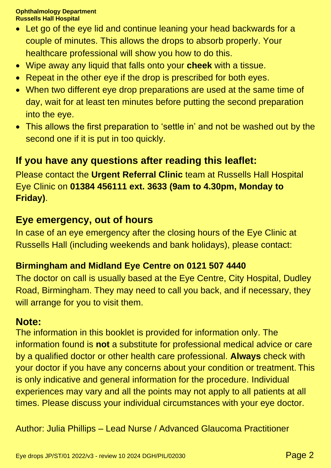#### **Ophthalmology Department Russells Hall Hospital**

- Let go of the eye lid and continue leaning your head backwards for a couple of minutes. This allows the drops to absorb properly. Your healthcare professional will show you how to do this.
- Wipe away any liquid that falls onto your **cheek** with a tissue.
- Repeat in the other eye if the drop is prescribed for both eyes.
- When two different eye drop preparations are used at the same time of day, wait for at least ten minutes before putting the second preparation into the eye.
- This allows the first preparation to 'settle in' and not be washed out by the second one if it is put in too quickly.

# **If you have any questions after reading this leaflet:**

Please contact the **Urgent Referral Clinic** team at Russells Hall Hospital Eye Clinic on **01384 456111 ext. 3633 (9am to 4.30pm, Monday to Friday)**.

# **Eye emergency, out of hours**

In case of an eye emergency after the closing hours of the Eye Clinic at Russells Hall (including weekends and bank holidays), please contact:

#### **Birmingham and Midland Eye Centre on 0121 507 4440**

The doctor on call is usually based at the Eye Centre, City Hospital, Dudley Road, Birmingham. They may need to call you back, and if necessary, they will arrange for you to visit them.

# **Note:**

The information in this booklet is provided for information only. The information found is **not** a substitute for professional medical advice or care by a qualified doctor or other health care professional. **Always** check with your doctor if you have any concerns about your condition or treatment. This is only indicative and general information for the procedure. Individual experiences may vary and all the points may not apply to all patients at all times. Please discuss your individual circumstances with your eye doctor.

Author: Julia Phillips – Lead Nurse / Advanced Glaucoma Practitioner